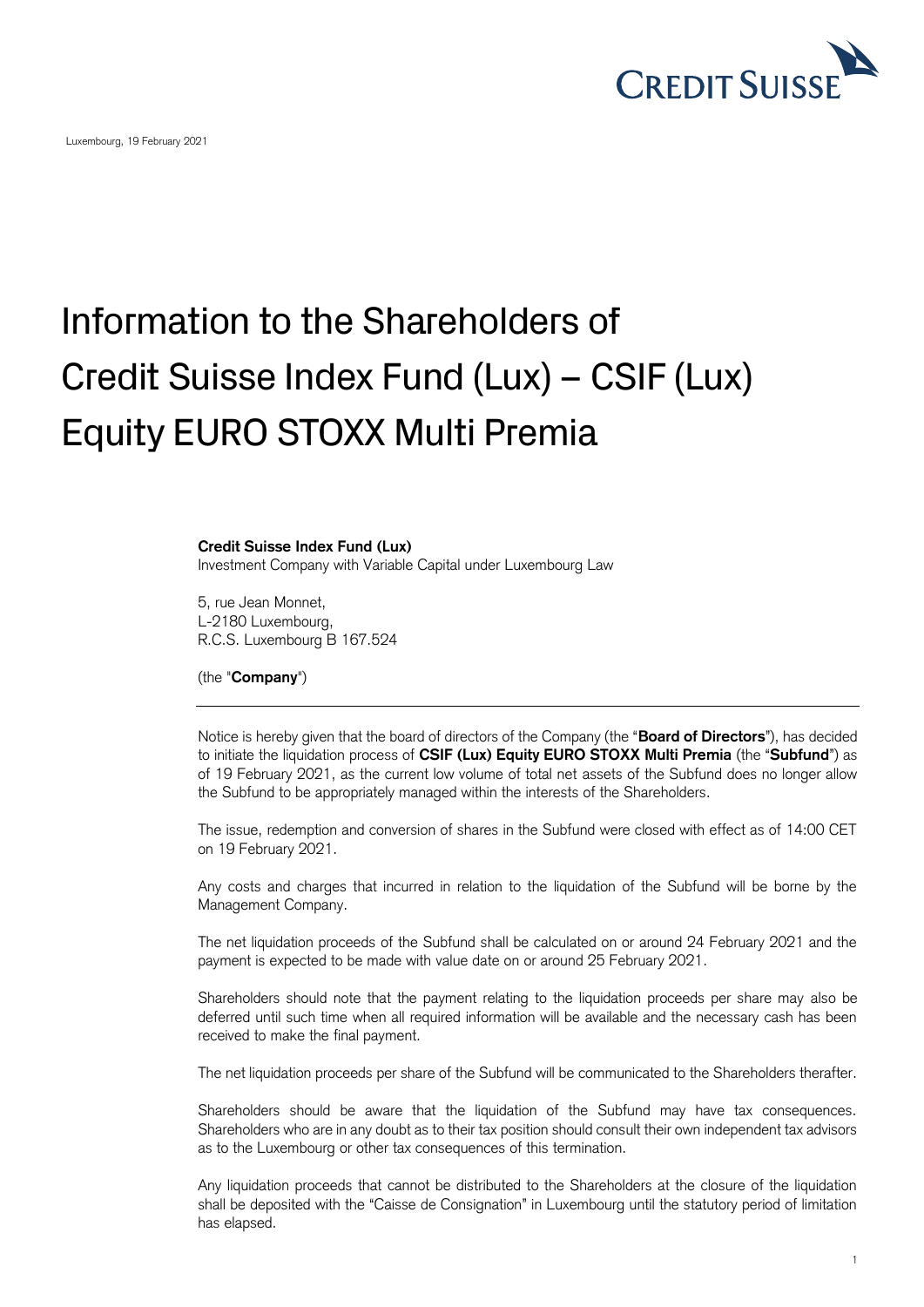

Luxembourg, 19 February 2021

## Information to the Shareholders of Credit Suisse Index Fund (Lux) – CSIF (Lux) Equity EURO STOXX Multi Premia

## **Credit Suisse Index Fund (Lux)**

Investment Company with Variable Capital under Luxembourg Law

5, rue Jean Monnet, L-2180 Luxembourg, R.C.S. Luxembourg B 167.524

(the "**Company**")

Notice is hereby given that the board of directors of the Company (the "**Board of Directors**"), has decided to initiate the liquidation process of **CSIF (Lux) Equity EURO STOXX Multi Premia** (the "**Subfund**") as of 19 February 2021, as the current low volume of total net assets of the Subfund does no longer allow the Subfund to be appropriately managed within the interests of the Shareholders.

The issue, redemption and conversion of shares in the Subfund were closed with effect as of 14:00 CET on 19 February 2021.

Any costs and charges that incurred in relation to the liquidation of the Subfund will be borne by the Management Company.

The net liquidation proceeds of the Subfund shall be calculated on or around 24 February 2021 and the payment is expected to be made with value date on or around 25 February 2021.

Shareholders should note that the payment relating to the liquidation proceeds per share may also be deferred until such time when all required information will be available and the necessary cash has been received to make the final payment.

The net liquidation proceeds per share of the Subfund will be communicated to the Shareholders therafter.

Shareholders should be aware that the liquidation of the Subfund may have tax consequences. Shareholders who are in any doubt as to their tax position should consult their own independent tax advisors as to the Luxembourg or other tax consequences of this termination.

Any liquidation proceeds that cannot be distributed to the Shareholders at the closure of the liquidation shall be deposited with the "Caisse de Consignation" in Luxembourg until the statutory period of limitation has elapsed.